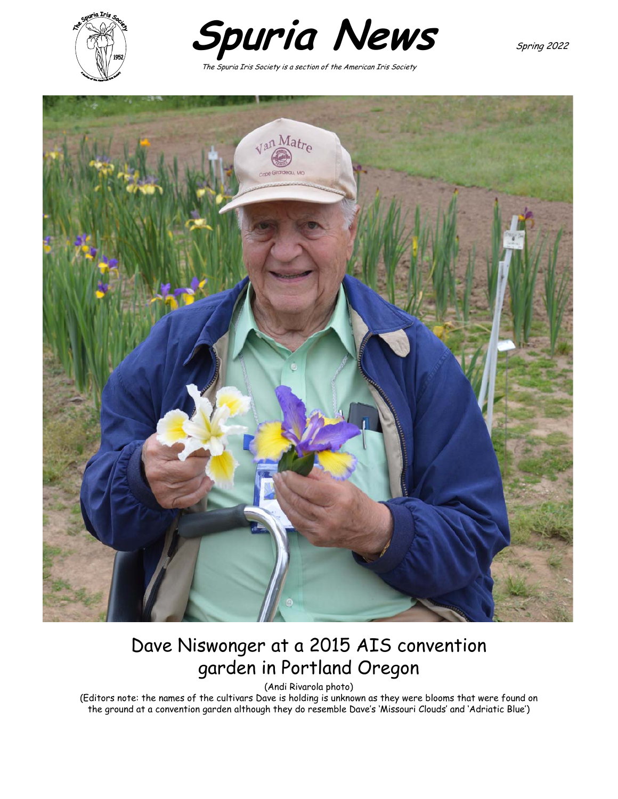



The Spuria Iris Society is a section of the American Iris Society



# Dave Niswonger at a 2015 AIS convention garden in Portland Oregon

(Andi Rivarola photo)

(Editors note: the names of the cultivars Dave is holding is unknown as they were blooms that were found on the ground at a convention garden although they do resemble Dave's 'Missouri Clouds' and 'Adriatic Blue')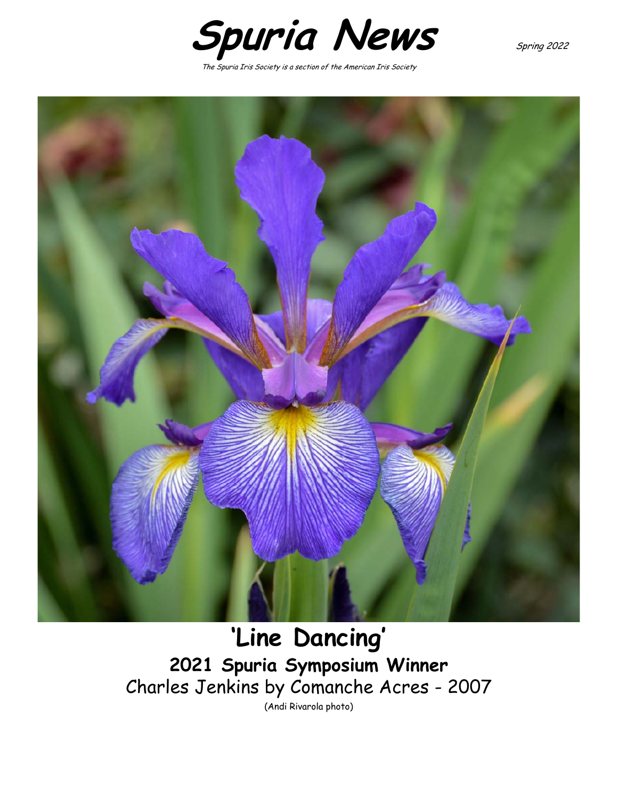

The Spuria Iris Society is a section of the American Iris Society



**'Line Dancing' 2021 Spuria Symposium Winner** Charles Jenkins by Comanche Acres - 2007 (Andi Rivarola photo)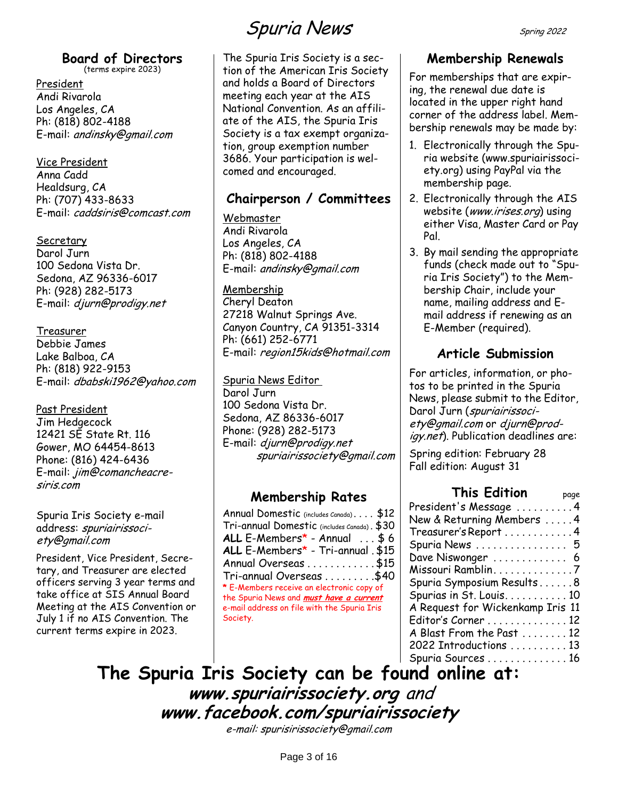#### **Board of Directors** (terms expire 2023)

President Andi Rivarola Los Angeles, CA Ph: (818) 802-4188 E-mail: andinsky@gmail.com

Vice President

Anna Cadd Healdsurg, CA Ph: (707) 433-8633 E-mail: caddsiris@comcast.com

#### Secretary

Darol Jurn 100 Sedona Vista Dr. Sedona, AZ 96336-6017 Ph: (928) 282-5173 E-mail: djurn@prodigy.net

Treasurer

Debbie James Lake Balboa, CA Ph: (818) 922-9153 E-mail: dbabski1962@yahoo.com

#### Past President

Jim Hedgecock 12421 SE State Rt. 116 Gower, MO 64454-8613 Phone: (816) 424-6436 E-mail: jim@comancheacresiris.com

Spuria Iris Society e-mail address: spuriairissociety@gmail.com

President, Vice President, Secretary, and Treasurer are elected officers serving 3 year terms and take office at SIS Annual Board Meeting at the AIS Convention or July 1 if no AIS Convention. The current terms expire in 2023.

# Spuria NewsSpring 2022

The Spuria Iris Society is a section of the American Iris Society and holds a Board of Directors meeting each year at the AIS National Convention. As an affiliate of the AIS, the Spuria Iris Society is a tax exempt organization, group exemption number 3686. Your participation is welcomed and encouraged.

### **Chairperson / Committees**

Webmaster

Andi Rivarola Los Angeles, CA Ph: (818) 802-4188 E-mail: andinsky@gmail.com

#### Membership

Cheryl Deaton 27218 Walnut Springs Ave. Canyon Country, CA 91351-3314 Ph: (661) 252-6771 E-mail: region15kids@hotmail.com

#### Spuria News Editor

Darol Jurn 100 Sedona Vista Dr. Sedona, AZ 86336-6017 Phone: (928) 282-5173 E-mail: djurn@prodigy.net spuriairissociety@gmail.com

### **Membership Rates**

| Annual Domestic (includes Canada) \$12         |  |
|------------------------------------------------|--|
| Tri-annual Domestic (includes Canada). \$30    |  |
| ALL $E$ -Members* - Annual \$6                 |  |
| ALL E-Members* - Tri-annual . \$15             |  |
| Annual Overseas \$15                           |  |
| Tri-annual Overseas \$40                       |  |
| * E-Members receive an electronic copy of      |  |
| the Spuria News and <i>must have a current</i> |  |
| e-mail address on file with the Spuria Iris    |  |
| Society.                                       |  |

## **Membership Renewals**

For memberships that are expiring, the renewal due date is located in the upper right hand corner of the address label. Membership renewals may be made by:

- 1. Electronically through the Spuria website (www.spuriairissociety.org) using PayPal via the membership page.
- 2. Electronically through the AIS website (www.irises.org) using either Visa, Master Card or Pay Pal.
- 3. By mail sending the appropriate funds (check made out to "Spuria Iris Society") to the Membership Chair, include your name, mailing address and Email address if renewing as an E-Member (required).

## **Article Submission**

For articles, information, or photos to be printed in the Spuria News, please submit to the Editor, Darol Jurn (spuriairissociety@gmail.com or djurn@prodigy.net). Publication deadlines are:

Spring edition: February 28 Fall edition: August 31

#### **This Edition** page [President's Message](#page-3-0) ...........4 [New & Returning Members](#page-3-1) . . . . . [4](#page-3-1) [Treasurer's Report](#page-3-2) . . . . . . . . . . . . [4](#page-3-2) [Spuria News](#page-4-0) . . . . . . . . . . . . . . . . [5](#page-4-0) [Dave Niswonger](#page-5-0) .............. [6](#page-5-0) [Missouri Ramblin](#page-6-0). . . . . . . . . . . . . . [7](#page-6-0) [Spuria Symposium Results](#page-7-0) . . . . . . [8](#page-7-0) [Spurias in St. Louis](#page-9-0). . . . . . . . . . . [10](#page-9-0) [A Request for Wickenkamp Iris 11](#page-10-0)

[Editor's Corner](#page-11-0) . . . . . . . . . . . . . . [12](#page-11-0) [A Blast From the Past](#page-11-1) . . . . . . . . [12](#page-11-1)

[2022 Introductions](#page-12-0) . . . . . . . . . . [13](#page-12-0) [Spuria Sources](#page-15-0) . . . . . . . . . . . . . . [16](#page-15-0) **The Spuria Iris Society can be found online at: www.spuriairissociety.org** and **www.facebook.com/spuriairissociety**

e-mail: spurisirissociety@gmail.com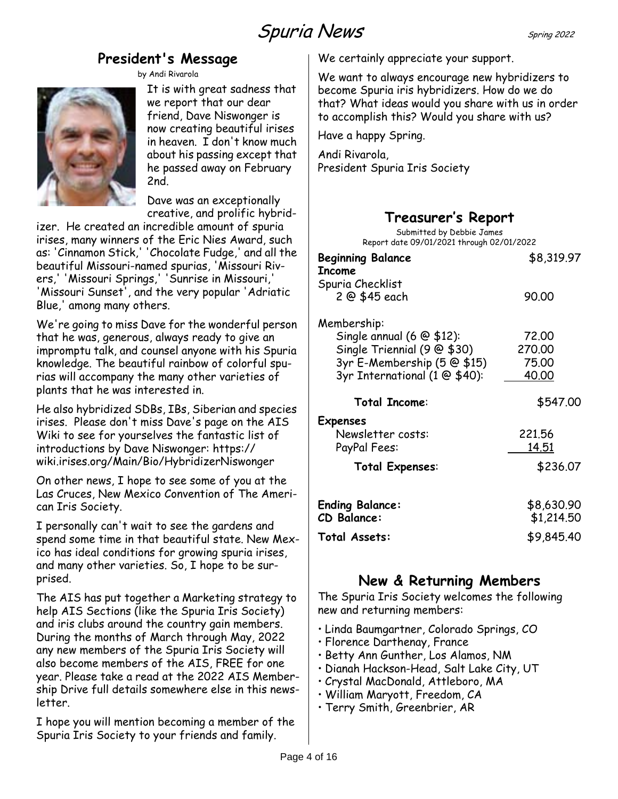## **President's Message**

by Andi Rivarola

<span id="page-3-0"></span>

It is with great sadness that we report that our dear friend, Dave Niswonger is now creating beautiful irises in heaven. I don't know much about his passing except that he passed away on February 2nd.

Dave was an exceptionally creative, and prolific hybrid-

izer. He created an incredible amount of spuria irises, many winners of the Eric Nies Award, such as: 'Cinnamon Stick,' 'Chocolate Fudge,' and all the beautiful Missouri-named spurias, 'Missouri Rivers,' 'Missouri Springs,' 'Sunrise in Missouri,' 'Missouri Sunset', and the very popular 'Adriatic Blue,' among many others.

We're going to miss Dave for the wonderful person that he was, generous, always ready to give an impromptu talk, and counsel anyone with his Spuria knowledge. The beautiful rainbow of colorful spurias will accompany the many other varieties of plants that he was interested in.

He also hybridized SDBs, IBs, Siberian and species irises. Please don't miss Dave's page on the AIS Wiki to see for yourselves the fantastic list of introductions by Dave Niswonger: https:// wiki.irises.org/Main/Bio/HybridizerNiswonger

On other news, I hope to see some of you at the Las Cruces, New Mexico Convention of The American Iris Society.

I personally can't wait to see the gardens and spend some time in that beautiful state. New Mexico has ideal conditions for growing spuria irises, and many other varieties. So, I hope to be surprised.

The AIS has put together a Marketing strategy to help AIS Sections (like the Spuria Iris Society) and iris clubs around the country gain members. During the months of March through May, 2022 any new members of the Spuria Iris Society will also become members of the AIS, FREE for one year. Please take a read at the 2022 AIS Membership Drive full details somewhere else in this newsletter.

I hope you will mention becoming a member of the Spuria Iris Society to your friends and family.

We certainly appreciate your support.

We want to always encourage new hybridizers to become Spuria iris hybridizers. How do we do that? What ideas would you share with us in order to accomplish this? Would you share with us?

Have a happy Spring.

Andi Rivarola, President Spuria Iris Society

## **Treasurer's Report**

<span id="page-3-2"></span>

| Submitted by Debbie James<br>Report date 09/01/2021 through 02/01/2022                                                                                |                                        |
|-------------------------------------------------------------------------------------------------------------------------------------------------------|----------------------------------------|
| <b>Beginning Balance</b><br>Income                                                                                                                    | \$8,319.97                             |
| Spuria Checklist<br>2 @ \$45 each                                                                                                                     | 90.00                                  |
| Membership:<br>Single annual $(6 \otimes $12)$ :<br>Single Triennial $(9 \oplus $30)$<br>3yr E-Membership (5 @ \$15)<br>3yr International (1 @ \$40): | 72,00<br>270,00<br>75.00<br>40.00      |
| <b>Total Income:</b>                                                                                                                                  | \$547.00                               |
| Expenses<br>Newsletter costs:<br>PayPal Fees:<br><b>Total Expenses:</b>                                                                               | 221,56<br><u> 14.51</u><br>\$236.07    |
| <b>Ending Balance:</b><br>CD Balance:<br>Total Assets:                                                                                                | \$8,630.90<br>\$1,214.50<br>\$9,845.40 |

## **New & Returning Members**

<span id="page-3-1"></span>The Spuria Iris Society welcomes the following new and returning members:

- Linda Baumgartner, Colorado Springs, CO
- Florence Darthenay, France
- Betty Ann Gunther, Los Alamos, NM
- Dianah Hackson-Head, Salt Lake City, UT
- Crystal MacDonald, Attleboro, MA
- William Maryott, Freedom, CA
- Terry Smith, Greenbrier, AR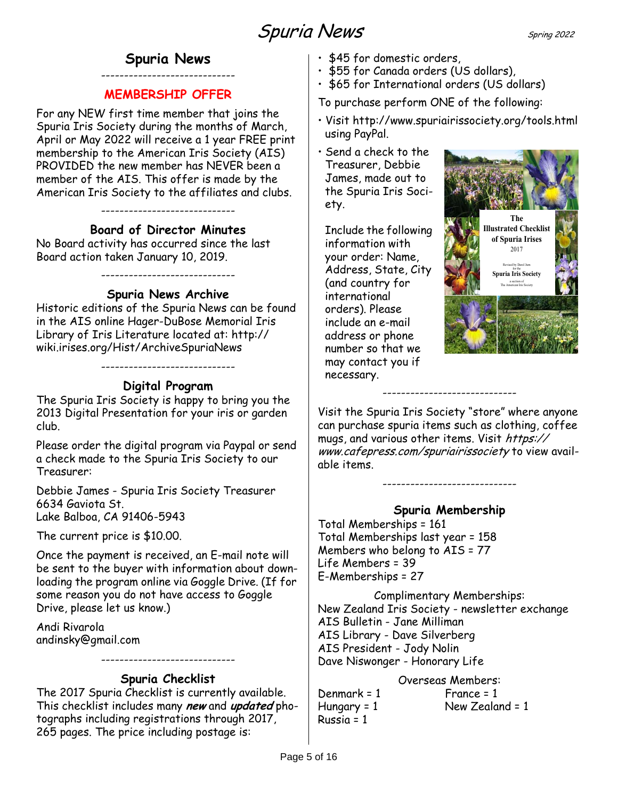### **Spuria News** -----------------------------

### **MEMBERSHIP OFFER**

<span id="page-4-0"></span>For any NEW first time member that joins the Spuria Iris Society during the months of March, April or May 2022 will receive a 1 year FREE print membership to the American Iris Society (AIS) PROVIDED the new member has NEVER been a member of the AIS. This offer is made by the American Iris Society to the affiliates and clubs.

-----------------------------

#### **Board of Director Minutes**

No Board activity has occurred since the last Board action taken January 10, 2019.

#### **Spuria News Archive**

-----------------------------

Historic editions of the Spuria News can be found in the AIS online Hager-DuBose Memorial Iris Library of Iris Literature located at: http:// wiki.irises.org/Hist/ArchiveSpuriaNews

### **Digital Program**

-----------------------------

The Spuria Iris Society is happy to bring you the 2013 Digital Presentation for your iris or garden club.

Please order the digital program via Paypal or send a check made to the Spuria Iris Society to our Treasurer:

Debbie James - Spuria Iris Society Treasurer 6634 Gaviota St. Lake Balboa, CA 91406-5943

The current price is \$10.00.

Once the payment is received, an E-mail note will be sent to the buyer with information about downloading the program online via Goggle Drive. (If for some reason you do not have access to Goggle Drive, please let us know.)

Andi Rivarola andinsky@gmail.com

### **Spuria Checklist**

-----------------------------

The 2017 Spuria Checklist is currently available. This checklist includes many **new** and **updated** photographs including registrations through 2017, 265 pages. The price including postage is:

- \$45 for domestic orders,
- \$55 for Canada orders (US dollars),
- \$65 for International orders (US dollars)

To purchase perform ONE of the following:

- Visit http://www.spuriairissociety.org/tools.html using PayPal.
- Send a check to the Treasurer, Debbie James, made out to the Spuria Iris Society.

Include the following information with your order: Name, Address, State, City (and country for international orders). Please include an e-mail address or phone number so that we may contact you if necessary.



Visit the Spuria Iris Society "store" where anyone can purchase spuria items such as clothing, coffee mugs, and various other items. Visit https:// www.cafepress.com/spuriairissociety to view available items.

-----------------------------

### **Spuria Membership**

-----------------------------

Total Memberships = 161 Total Memberships last year = 158 Members who belong to AIS = 77 Life Members = 39 E-Memberships = 27

Complimentary Memberships: New Zealand Iris Society - newsletter exchange AIS Bulletin - Jane Milliman AIS Library - Dave Silverberg AIS President - Jody Nolin Dave Niswonger - Honorary Life

#### Overseas Members:

 $Denmark = 1$  France = 1 Russia = 1

Hungary = 1 New Zealand = 1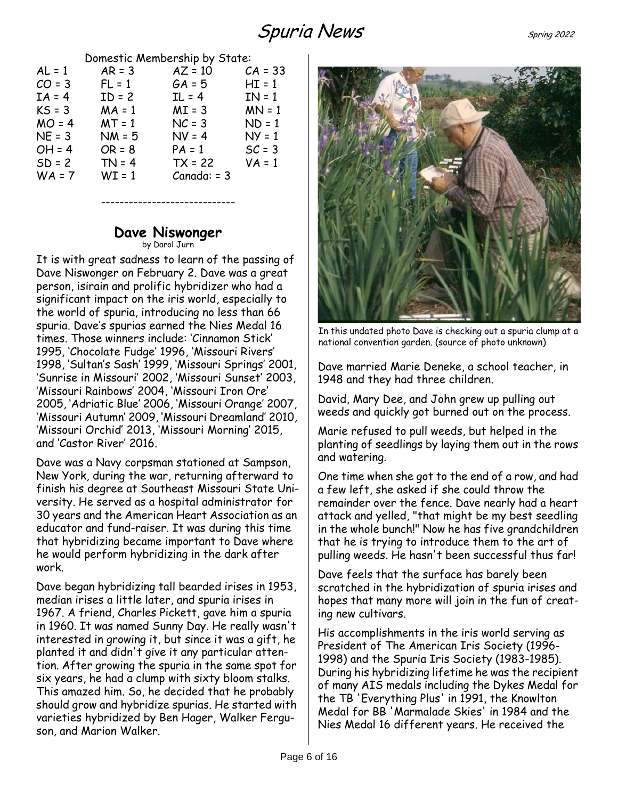## Spuria News Spring 2022

|  | Domestic Membership by State: |  |
|--|-------------------------------|--|
|--|-------------------------------|--|

| $AL = 1$<br>$CO = 3$<br>$IA = 4$<br>$KS = 3$<br>$MO = 4$<br>$NE = 3$<br>$OH = 4$<br>$SD = 2$ | $AR = 3$<br>$FL = 1$<br>$ID = 2$<br>$MA = 1$<br>$MT = 1$<br>$NM = 5$<br>$OR = 8$<br>$TN = 4$ | $AZ = 10$<br>$GA = 5$<br>$IL = 4$<br>$MI = 3$<br>$NC = 3$<br>$NV = 4$<br>$PA = 1$<br>$TX = 22$ | $CA = 33$<br>$HI = 1$<br>$IN = 1$<br>$MN = 1$<br>$ND = 1$<br>$NY = 1$<br>$SC = 3$<br>$VA = 1$ |
|----------------------------------------------------------------------------------------------|----------------------------------------------------------------------------------------------|------------------------------------------------------------------------------------------------|-----------------------------------------------------------------------------------------------|
| $WA = 7$                                                                                     | $WT = 1$                                                                                     | $Canada: = 3$                                                                                  |                                                                                               |
|                                                                                              |                                                                                              |                                                                                                |                                                                                               |

#### **Dave Niswonger** by Darol Jurn

-----------------------------

<span id="page-5-0"></span>It is with great sadness to learn of the passing of Dave Niswonger on February 2. Dave was a great person, isirain and prolific hybridizer who had a significant impact on the iris world, especially to the world of spuria, introducing no less than 66 spuria. Dave's spurias earned the Nies Medal 16 times. Those winners include: 'Cinnamon Stick' 1995, 'Chocolate Fudge' 1996, 'Missouri Rivers' 1998, 'Sultan's Sash' 1999, 'Missouri Springs' 2001, 'Sunrise in Missouri' 2002, 'Missouri Sunset' 2003, 'Missouri Rainbows' 2004, 'Missouri Iron Ore' 2005, 'Adriatic Blue' 2006, 'Missouri Orange' 2007, 'Missouri Autumn' 2009, 'Missouri Dreamland' 2010, 'Missouri Orchid' 2013, 'Missouri Morning' 2015, and 'Castor River' 2016.

Dave was a Navy corpsman stationed at Sampson, New York, during the war, returning afterward to finish his degree at Southeast Missouri State University. He served as a hospital administrator for 30 years and the American Heart Association as an educator and fund-raiser. It was during this time that hybridizing became important to Dave where he would perform hybridizing in the dark after work.

Dave began hybridizing tall bearded irises in 1953, median irises a little later, and spuria irises in 1967. A friend, Charles Pickett, gave him a spuria in 1960. It was named Sunny Day. He really wasn't interested in growing it, but since it was a gift, he planted it and didn't give it any particular attention. After growing the spuria in the same spot for six years, he had a clump with sixty bloom stalks. This amazed him. So, he decided that he probably should grow and hybridize spurias. He started with varieties hybridized by Ben Hager, Walker Ferguson, and Marion Walker.



In this undated photo Dave is checking out a spuria clump at a national convention garden. (source of photo unknown)

Dave married Marie Deneke, a school teacher, in 1948 and they had three children.

David, Mary Dee, and John grew up pulling out weeds and quickly got burned out on the process.

Marie refused to pull weeds, but helped in the planting of seedlings by laying them out in the rows and watering.

One time when she got to the end of a row, and had a few left, she asked if she could throw the remainder over the fence. Dave nearly had a heart attack and yelled, "that might be my best seedling in the whole bunch!" Now he has five grandchildren that he is trying to introduce them to the art of pulling weeds. He hasn't been successful thus far!

Dave feels that the surface has barely been scratched in the hybridization of spuria irises and hopes that many more will join in the fun of creating new cultivars.

His accomplishments in the iris world serving as President of The American Iris Society (1996- 1998) and the Spuria Iris Society (1983-1985). During his hybridizing lifetime he was the recipient of many AIS medals including the Dykes Medal for the TB 'Everything Plus' in 1991, the Knowlton Medal for BB 'Marmalade Skies' in 1984 and the Nies Medal 16 different years. He received the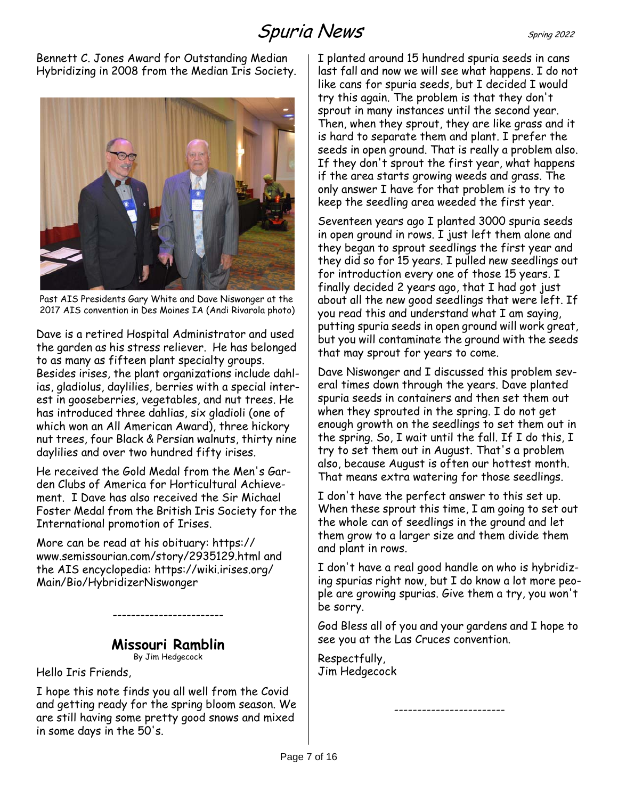Bennett C. Jones Award for Outstanding Median Hybridizing in 2008 from the Median Iris Society.



Past AIS Presidents Gary White and Dave Niswonger at the 2017 AIS convention in Des Moines IA (Andi Rivarola photo)

Dave is a retired Hospital Administrator and used the garden as his stress reliever. He has belonged to as many as fifteen plant specialty groups. Besides irises, the plant organizations include dahlias, gladiolus, daylilies, berries with a special interest in gooseberries, vegetables, and nut trees. He has introduced three dahlias, six gladioli (one of which won an All American Award), three hickory nut trees, four Black & Persian walnuts, thirty nine daylilies and over two hundred fifty irises.

He received the Gold Medal from the Men's Garden Clubs of America for Horticultural Achievement. I Dave has also received the Sir Michael Foster Medal from the British Iris Society for the International promotion of Irises.

More can be read at his obituary: https:// www.semissourian.com/story/2935129.html and the AIS encyclopedia: https://wiki.irises.org/ Main/Bio/HybridizerNiswonger

## **Missouri Ramblin**

------------------------

By Jim Hedgecock

<span id="page-6-0"></span>Hello Iris Friends,

I hope this note finds you all well from the Covid and getting ready for the spring bloom season. We are still having some pretty good snows and mixed in some days in the 50's.

I planted around 15 hundred spuria seeds in cans last fall and now we will see what happens. I do not like cans for spuria seeds, but I decided I would try this again. The problem is that they don't sprout in many instances until the second year. Then, when they sprout, they are like grass and it is hard to separate them and plant. I prefer the seeds in open ground. That is really a problem also. If they don't sprout the first year, what happens if the area starts growing weeds and grass. The only answer I have for that problem is to try to keep the seedling area weeded the first year.

Seventeen years ago I planted 3000 spuria seeds in open ground in rows. I just left them alone and they began to sprout seedlings the first year and they did so for 15 years. I pulled new seedlings out for introduction every one of those 15 years. I finally decided 2 years ago, that I had got just about all the new good seedlings that were left. If you read this and understand what I am saying, putting spuria seeds in open ground will work great, but you will contaminate the ground with the seeds that may sprout for years to come.

Dave Niswonger and I discussed this problem several times down through the years. Dave planted spuria seeds in containers and then set them out when they sprouted in the spring. I do not get enough growth on the seedlings to set them out in the spring. So, I wait until the fall. If I do this, I try to set them out in August. That's a problem also, because August is often our hottest month. That means extra watering for those seedlings.

I don't have the perfect answer to this set up. When these sprout this time, I am going to set out the whole can of seedlings in the ground and let them grow to a larger size and them divide them and plant in rows.

I don't have a real good handle on who is hybridizing spurias right now, but I do know a lot more people are growing spurias. Give them a try, you won't be sorry.

God Bless all of you and your gardens and I hope to see you at the Las Cruces convention.

------------------------

Respectfully, Jim Hedgecock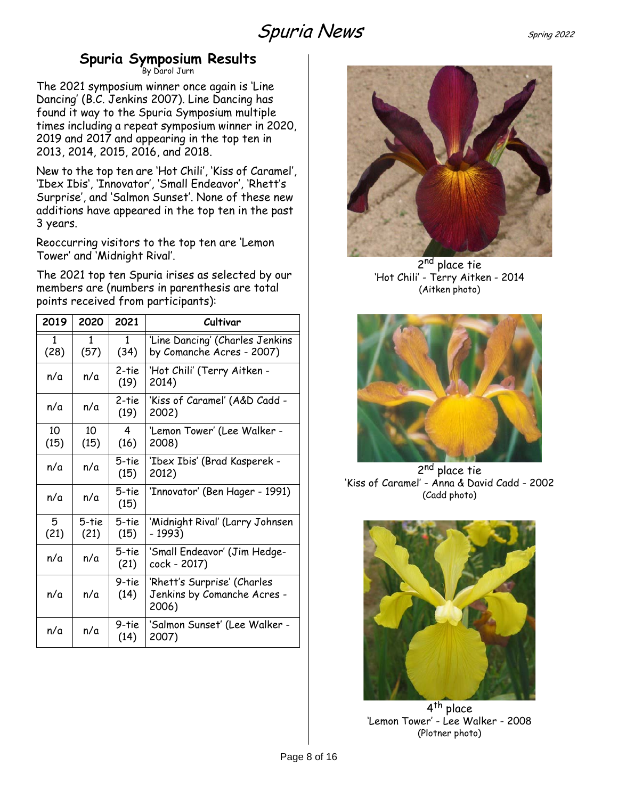## **Spuria Symposium Results**

By Darol Jurn

<span id="page-7-0"></span>The 2021 symposium winner once again is 'Line Dancing' (B.C. Jenkins 2007). Line Dancing has found it way to the Spuria Symposium multiple times including a repeat symposium winner in 2020, 2019 and 2017 and appearing in the top ten in 2013, 2014, 2015, 2016, and 2018.

New to the top ten are 'Hot Chili', 'Kiss of Caramel', 'Ibex Ibis', 'Innovator', 'Small Endeavor', 'Rhett's Surprise', and 'Salmon Sunset'. None of these new additions have appeared in the top ten in the past 3 years.

Reoccurring visitors to the top ten are 'Lemon Tower' and 'Midnight Rival'.

The 2021 top ten Spuria irises as selected by our members are (numbers in parenthesis are total points received from participants):

| 2019       | 2020          | 2021                 | Cultivar                                                            |
|------------|---------------|----------------------|---------------------------------------------------------------------|
| 1<br>(28)  | 1<br>(57)     | $\mathbf{1}$<br>(34) | 'Line Dancing' (Charles Jenkins<br>by Comanche Acres - 2007)        |
| n/a        | n/a           | 2-tie<br>(19)        | 'Hot Chili' (Terry Aitken -<br>2014)                                |
| n/a        | n/a           | 2-tie<br>(19)        | 'Kiss of Caramel' (A&D Cadd -<br>2002)                              |
| 10<br>(15) | 10<br>(15)    | 4<br>(16)            | 'Lemon Tower' (Lee Walker -<br>2008)                                |
| n/a        | n/a           | 5-tie<br>(15)        | 'Ibex Ibis' (Brad Kasperek -<br>2012)                               |
| n/a        | n/a           | 5-tie<br>(15)        | 'Innovator' (Ben Hager - 1991)                                      |
| 5<br>(21)  | 5-tie<br>(21) | 5-tie<br>(15)        | 'Midnight Rival' (Larry Johnsen<br>- 1993)                          |
| n/a        | n/a           | 5-tie<br>(21)        | 'Small Endeavor' (Jim Hedge-<br>cock - 2017)                        |
| n/a        | n/a           | 9-tie<br>(14)        | 'Rhett's Surprise' (Charles<br>Jenkins by Comanche Acres -<br>2006) |
| n/a        | n/a           | 9-tie<br>(14)        | 'Salmon Sunset' (Lee Walker -<br>2007)                              |



2<sup>nd</sup> place tie 'Hot Chili' - Terry Aitken - 2014 (Aitken photo)



2<sup>nd</sup> place tie 'Kiss of Caramel' - Anna & David Cadd - 2002 (Cadd photo)



4<sup>th</sup> place 'Lemon Tower' - Lee Walker - 2008 (Plotner photo)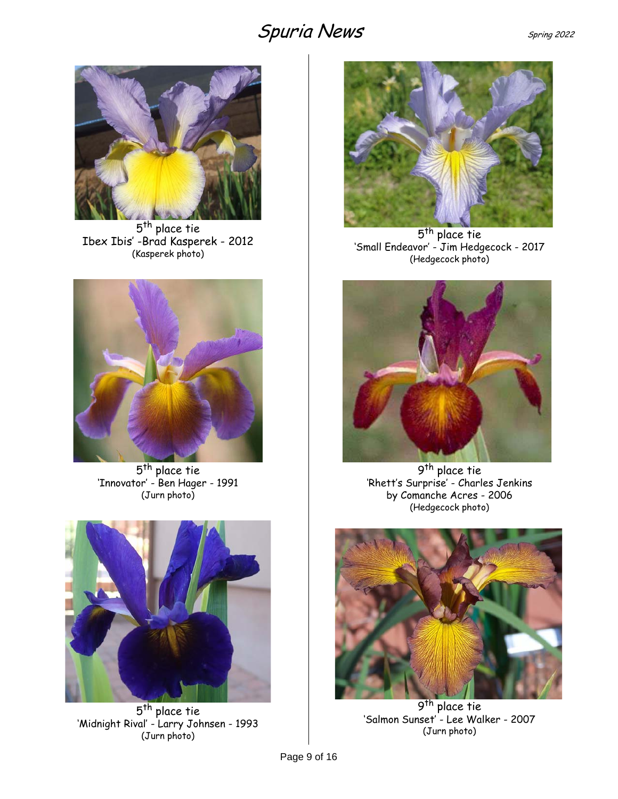

5<sup>th</sup> place tie Ibex Ibis' -Brad Kasperek - 2012 (Kasperek photo)



5<sup>th</sup> place tie 'Innovator' - Ben Hager - 1991 (Jurn photo)



5<sup>th</sup> place tie 'Midnight Rival' - Larry Johnsen - 1993 (Jurn photo)



5<sup>th</sup> place tie 'Small Endeavor' - Jim Hedgecock - 2017 (Hedgecock photo)



9<sup>th</sup> place tie 'Rhett's Surprise' - Charles Jenkins by Comanche Acres - 2006 (Hedgecock photo)



9<sup>th</sup> place tie 'Salmon Sunset' - Lee Walker - 2007 (Jurn photo)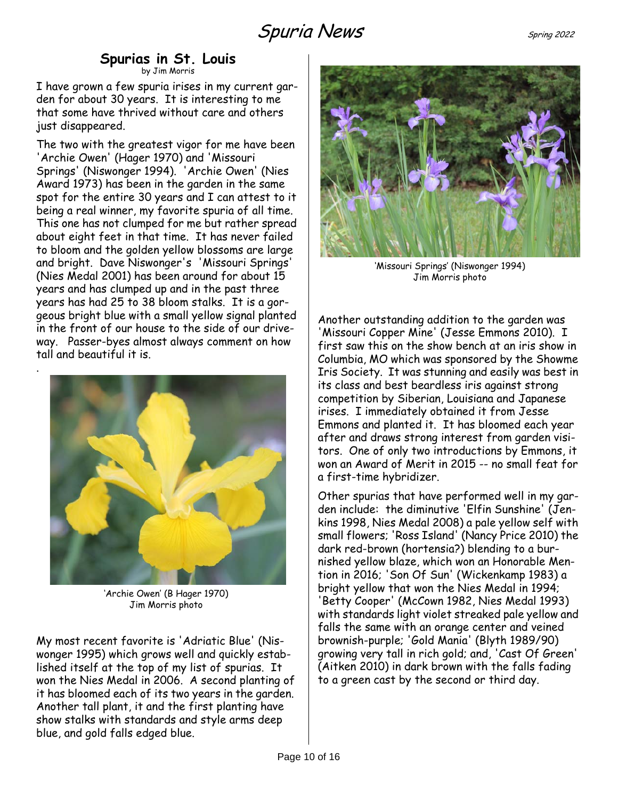#### **Spurias in St. Louis** by Jim Morris

<span id="page-9-0"></span>I have grown a few spuria irises in my current garden for about 30 years. It is interesting to me that some have thrived without care and others just disappeared.

The two with the greatest vigor for me have been 'Archie Owen' (Hager 1970) and 'Missouri Springs' (Niswonger 1994). 'Archie Owen' (Nies Award 1973) has been in the garden in the same spot for the entire 30 years and I can attest to it being a real winner, my favorite spuria of all time. This one has not clumped for me but rather spread about eight feet in that time. It has never failed to bloom and the golden yellow blossoms are large and bright. Dave Niswonger's 'Missouri Springs' (Nies Medal 2001) has been around for about 15 years and has clumped up and in the past three years has had 25 to 38 bloom stalks. It is a gorgeous bright blue with a small yellow signal planted in the front of our house to the side of our driveway. Passer-byes almost always comment on how tall and beautiful it is.



.

'Archie Owen' (B Hager 1970) Jim Morris photo

My most recent favorite is 'Adriatic Blue' (Niswonger 1995) which grows well and quickly established itself at the top of my list of spurias. It won the Nies Medal in 2006. A second planting of it has bloomed each of its two years in the garden. Another tall plant, it and the first planting have show stalks with standards and style arms deep blue, and gold falls edged blue.



'Missouri Springs' (Niswonger 1994) Jim Morris photo

Another outstanding addition to the garden was 'Missouri Copper Mine' (Jesse Emmons 2010). I first saw this on the show bench at an iris show in Columbia, MO which was sponsored by the Showme Iris Society. It was stunning and easily was best in its class and best beardless iris against strong competition by Siberian, Louisiana and Japanese irises. I immediately obtained it from Jesse Emmons and planted it. It has bloomed each year after and draws strong interest from garden visitors. One of only two introductions by Emmons, it won an Award of Merit in 2015 -- no small feat for a first-time hybridizer.

Other spurias that have performed well in my garden include: the diminutive 'Elfin Sunshine' (Jenkins 1998, Nies Medal 2008) a pale yellow self with small flowers; 'Ross Island' (Nancy Price 2010) the dark red-brown (hortensia?) blending to a burnished yellow blaze, which won an Honorable Mention in 2016; 'Son Of Sun' (Wickenkamp 1983) a bright yellow that won the Nies Medal in 1994; 'Betty Cooper' (McCown 1982, Nies Medal 1993) with standards light violet streaked pale yellow and falls the same with an orange center and veined brownish-purple; 'Gold Mania' (Blyth 1989/90) growing very tall in rich gold; and, 'Cast Of Green' (Aitken 2010) in dark brown with the falls fading to a green cast by the second or third day.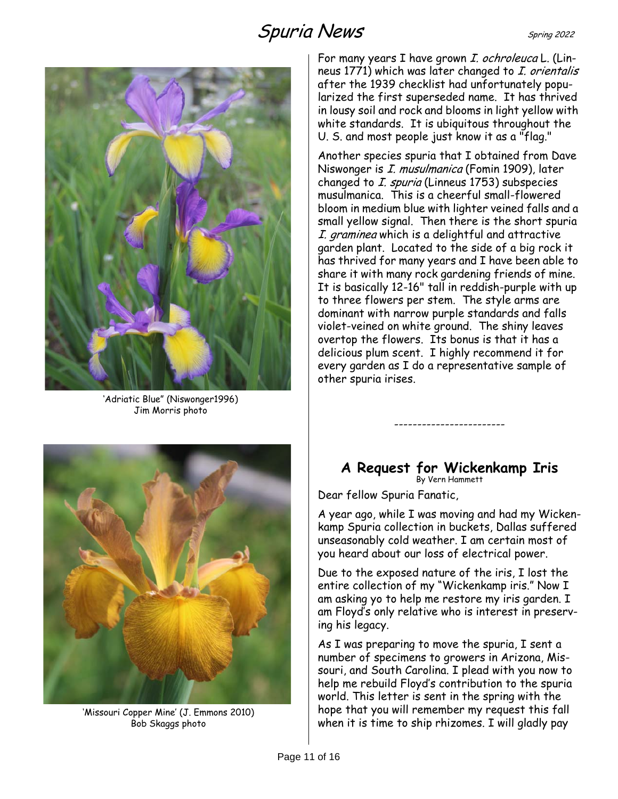# Spuria News Spring 2022

'Adriatic Blue" (Niswonger1996) Jim Morris photo

For many years I have grown I. ochroleuca L. (Linneus 1771) which was later changed to *I. orientalis* after the 1939 checklist had unfortunately popularized the first superseded name. It has thrived in lousy soil and rock and blooms in light yellow with white standards. It is ubiquitous throughout the U. S. and most people just know it as a "flag."

Another species spuria that I obtained from Dave Niswonger is I. musulmanica (Fomin 1909), later changed to *I. spuria* (Linneus 1753) subspecies musulmanica. This is a cheerful small-flowered bloom in medium blue with lighter veined falls and a small yellow signal. Then there is the short spuria I. graminea which is a delightful and attractive garden plant. Located to the side of a big rock it has thrived for many years and I have been able to share it with many rock gardening friends of mine. It is basically 12-16" tall in reddish-purple with up to three flowers per stem. The style arms are dominant with narrow purple standards and falls violet-veined on white ground. The shiny leaves overtop the flowers. Its bonus is that it has a delicious plum scent. I highly recommend it for every garden as I do a representative sample of other spuria irises.



'Missouri Copper Mine' (J. Emmons 2010) Bob Skaggs photo

#### <span id="page-10-0"></span>**A Request for Wickenkamp Iris** By Vern Hammett

------------------------

Dear fellow Spuria Fanatic,

A year ago, while I was moving and had my Wickenkamp Spuria collection in buckets, Dallas suffered unseasonably cold weather. I am certain most of you heard about our loss of electrical power.

Due to the exposed nature of the iris, I lost the entire collection of my "Wickenkamp iris." Now I am asking yo to help me restore my iris garden. I am Floyd's only relative who is interest in preserving his legacy.

As I was preparing to move the spuria, I sent a number of specimens to growers in Arizona, Missouri, and South Carolina. I plead with you now to help me rebuild Floyd's contribution to the spuria world. This letter is sent in the spring with the hope that you will remember my request this fall when it is time to ship rhizomes. I will gladly pay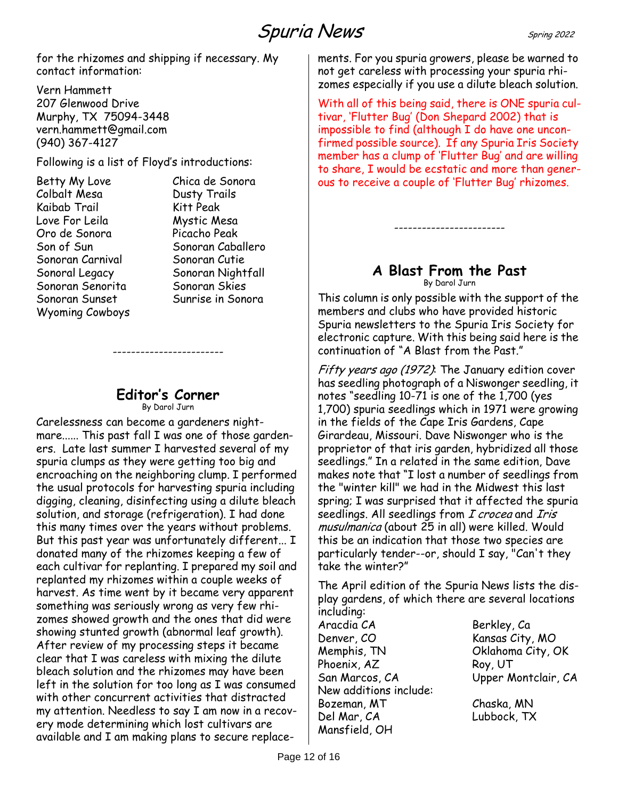for the rhizomes and shipping if necessary. My contact information:

Vern Hammett 207 Glenwood Drive Murphy, TX 75094-3448 vern.hammett@gmail.com (940) 367-4127

Following is a list of Floyd's introductions:

| Betty My Love    |  |
|------------------|--|
| Colbalt Mesa     |  |
| Kaibab Trail     |  |
| Love For Leila   |  |
| Oro de Sonora    |  |
| Son of Sun       |  |
| Sonoran Carnival |  |
| Sonoral Legacy   |  |
| Sonoran Senorita |  |
| Sonoran Sunset   |  |
| Wyoming Cowboys  |  |

Chica de Sonora Dusty Trails Kitt Peak Mystic Mesa Picacho Peak Sonoran Caballero Sonoran Cutie Sonoran Nightfall Sonoran Skies Sunrise in Sonora

#### **Editor's Corner** By Darol Jurn

------------------------

<span id="page-11-0"></span>Carelessness can become a gardeners nightmare...... This past fall I was one of those gardeners. Late last summer I harvested several of my spuria clumps as they were getting too big and encroaching on the neighboring clump. I performed the usual protocols for harvesting spuria including digging, cleaning, disinfecting using a dilute bleach solution, and storage (refrigeration). I had done this many times over the years without problems. But this past year was unfortunately different... I donated many of the rhizomes keeping a few of each cultivar for replanting. I prepared my soil and replanted my rhizomes within a couple weeks of harvest. As time went by it became very apparent something was seriously wrong as very few rhizomes showed growth and the ones that did were showing stunted growth (abnormal leaf growth). After review of my processing steps it became clear that I was careless with mixing the dilute bleach solution and the rhizomes may have been left in the solution for too long as I was consumed with other concurrent activities that distracted my attention. Needless to say I am now in a recovery mode determining which lost cultivars are available and I am making plans to secure replacements. For you spuria growers, please be warned to not get careless with processing your spuria rhizomes especially if you use a dilute bleach solution.

With all of this being said, there is ONE spuria cultivar, 'Flutter Bug' (Don Shepard 2002) that is impossible to find (although I do have one unconfirmed possible source). If any Spuria Iris Society member has a clump of 'Flutter Bug' and are willing to share, I would be ecstatic and more than generous to receive a couple of 'Flutter Bug' rhizomes.

#### **A Blast From the Past** By Darol Jurn

------------------------

<span id="page-11-1"></span>This column is only possible with the support of the members and clubs who have provided historic Spuria newsletters to the Spuria Iris Society for electronic capture. With this being said here is the continuation of "A Blast from the Past."

Fifty years ago (1972). The January edition cover has seedling photograph of a Niswonger seedling, it notes "seedling 10-71 is one of the 1,700 (yes 1,700) spuria seedlings which in 1971 were growing in the fields of the Cape Iris Gardens, Cape Girardeau, Missouri. Dave Niswonger who is the proprietor of that iris garden, hybridized all those seedlings." In a related in the same edition, Dave makes note that "I lost a number of seedlings from the "winter kill" we had in the Midwest this last spring; I was surprised that it affected the spuria seedlings. All seedlings from I crocea and Iris musulmanica (about 25 in all) were killed. Would this be an indication that those two species are particularly tender--or, should I say, "Can't they take the winter?"

The April edition of the Spuria News lists the display gardens, of which there are several locations including:

Aracdia CA Berkley, Ca Denver, CO Kansas City, MO Memphis, TN Oklahoma City, OK Phoenix, AZ Roy, UT San Marcos, CA Upper Montclair, CA New additions include: Bozeman, MT Chaska, MN Del Mar, CA Lubbock, TX Mansfield, OH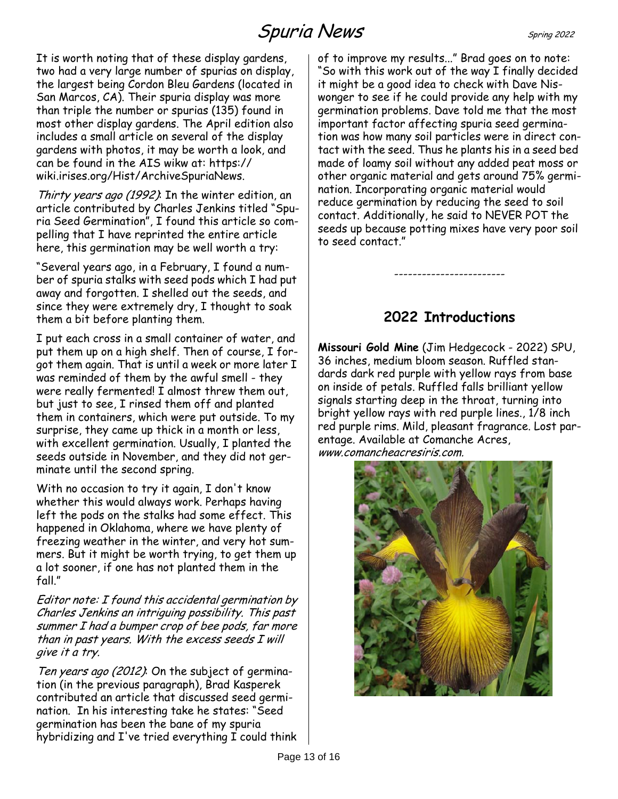# Spuria News Spring 2022

It is worth noting that of these display gardens, two had a very large number of spurias on display, the largest being Cordon Bleu Gardens (located in San Marcos, CA). Their spuria display was more than triple the number or spurias (135) found in most other display gardens. The April edition also includes a small article on several of the display gardens with photos, it may be worth a look, and can be found in the AIS wikw at: https:// wiki.irises.org/Hist/ArchiveSpuriaNews.

Thirty years ago (1992). In the winter edition, an article contributed by Charles Jenkins titled "Spuria Seed Germination", I found this article so compelling that I have reprinted the entire article here, this germination may be well worth a try:

"Several years ago, in a February, I found a number of spuria stalks with seed pods which I had put away and forgotten. I shelled out the seeds, and since they were extremely dry, I thought to soak them a bit before planting them.

I put each cross in a small container of water, and put them up on a high shelf. Then of course, I forgot them again. That is until a week or more later I was reminded of them by the awful smell - they were really fermented! I almost threw them out, but just to see, I rinsed them off and planted them in containers, which were put outside. To my surprise, they came up thick in a month or less, with excellent germination. Usually, I planted the seeds outside in November, and they did not germinate until the second spring.

With no occasion to try it again, I don't know whether this would always work. Perhaps having left the pods on the stalks had some effect. This happened in Oklahoma, where we have plenty of freezing weather in the winter, and very hot summers. But it might be worth trying, to get them up a lot sooner, if one has not planted them in the fall."

Editor note: I found this accidental germination by Charles Jenkins an intriguing possibility. This past summer I had a bumper crop of bee pods, far more than in past years. With the excess seeds I will give it a try.

Ten years ago (2012): On the subject of germination (in the previous paragraph), Brad Kasperek contributed an article that discussed seed germination. In his interesting take he states: "Seed germination has been the bane of my spuria hybridizing and I've tried everything I could think of to improve my results..." Brad goes on to note: "So with this work out of the way I finally decided it might be a good idea to check with Dave Niswonger to see if he could provide any help with my germination problems. Dave told me that the most important factor affecting spuria seed germination was how many soil particles were in direct contact with the seed. Thus he plants his in a seed bed made of loamy soil without any added peat moss or other organic material and gets around 75% germination. Incorporating organic material would reduce germination by reducing the seed to soil contact. Additionally, he said to NEVER POT the seeds up because potting mixes have very poor soil to seed contact."

## **2022 Introductions**

------------------------

<span id="page-12-0"></span>**Missouri Gold Mine** (Jim Hedgecock - 2022) SPU, 36 inches, medium bloom season. Ruffled standards dark red purple with yellow rays from base on inside of petals. Ruffled falls brilliant yellow signals starting deep in the throat, turning into bright yellow rays with red purple lines., 1/8 inch red purple rims. Mild, pleasant fragrance. Lost parentage. Available at Comanche Acres, www.comancheacresiris.com.

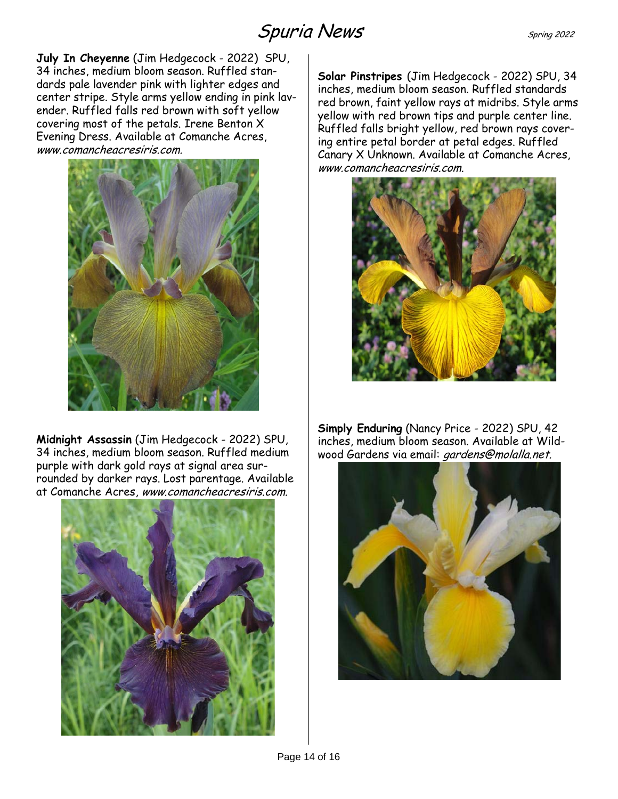**July In Cheyenne** (Jim Hedgecock - 2022) SPU, 34 inches, medium bloom season. Ruffled standards pale lavender pink with lighter edges and center stripe. Style arms yellow ending in pink lavender. Ruffled falls red brown with soft yellow covering most of the petals. Irene Benton X Evening Dress. Available at Comanche Acres, www.comancheacresiris.com.



**Midnight Assassin** (Jim Hedgecock - 2022) SPU, 34 inches, medium bloom season. Ruffled medium purple with dark gold rays at signal area surrounded by darker rays. Lost parentage. Available at Comanche Acres, www.comancheacresiris.com.



**Solar Pinstripes** (Jim Hedgecock - 2022) SPU, 34 inches, medium bloom season. Ruffled standards red brown, faint yellow rays at midribs. Style arms yellow with red brown tips and purple center line. Ruffled falls bright yellow, red brown rays covering entire petal border at petal edges. Ruffled Canary X Unknown. Available at Comanche Acres, www.comancheacresiris.com.



**Simply Enduring** (Nancy Price - 2022) SPU, 42 inches, medium bloom season. Available at Wildwood Gardens via email: gardens@molalla.net.

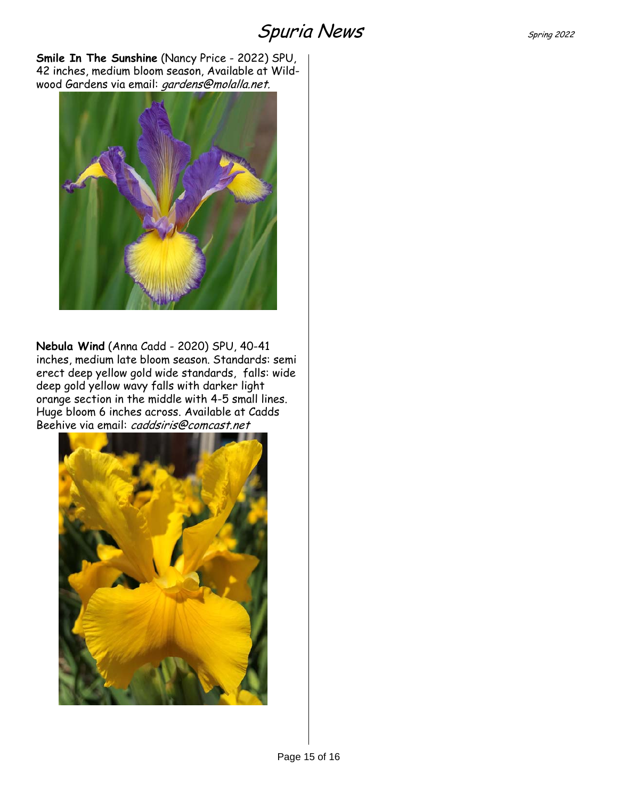**Smile In The Sunshine** (Nancy Price - 2022) SPU, 42 inches, medium bloom season, Available at Wildwood Gardens via email: gardens@molalla.net.



**Nebula Wind** (Anna Cadd - 2020) SPU, 40-41 inches, medium late bloom season. Standards: semi erect deep yellow gold wide standards, falls: wide deep gold yellow wavy falls with darker light orange section in the middle with 4-5 small lines. Huge bloom 6 inches across. Available at Cadds Beehive via email: caddsiris@comcast.net